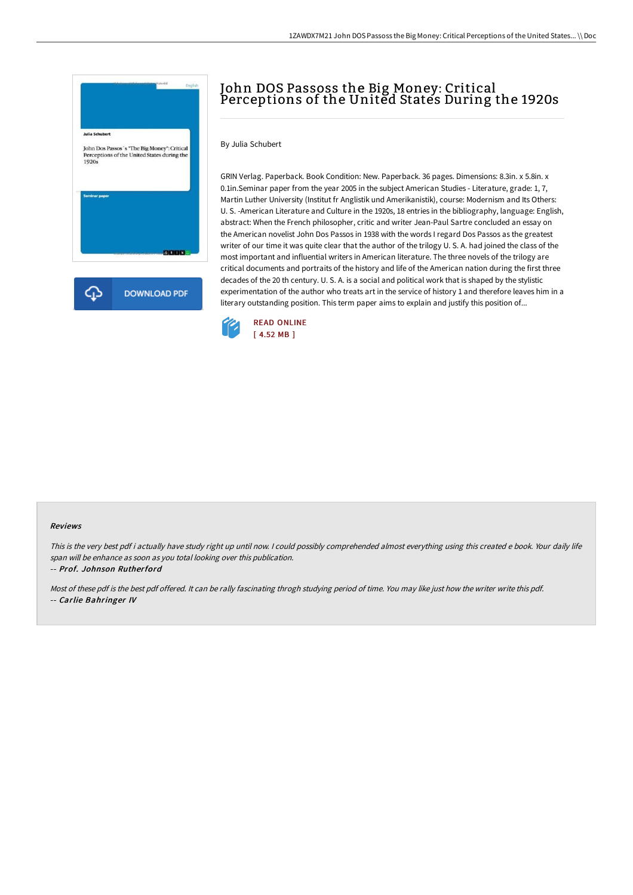

# John DOS Passoss the Big Money: Critical Perceptions of the United States During the 1920s

By Julia Schubert

GRIN Verlag. Paperback. Book Condition: New. Paperback. 36 pages. Dimensions: 8.3in. x 5.8in. x 0.1in.Seminar paper from the year 2005 in the subject American Studies - Literature, grade: 1, 7, Martin Luther University (Institut fr Anglistik und Amerikanistik), course: Modernism and Its Others: U. S. -American Literature and Culture in the 1920s, 18 entries in the bibliography, language: English, abstract: When the French philosopher, critic and writer Jean-Paul Sartre concluded an essay on the American novelist John Dos Passos in 1938 with the words I regard Dos Passos as the greatest writer of our time it was quite clear that the author of the trilogy U. S. A. had joined the class of the most important and influential writers in American literature. The three novels of the trilogy are critical documents and portraits of the history and life of the American nation during the first three decades of the 20 th century. U. S. A. is a social and political work that is shaped by the stylistic experimentation of the author who treats art in the service of history 1 and therefore leaves him in a literary outstanding position. This term paper aims to explain and justify this position of...



#### Reviews

This is the very best pdf i actually have study right up until now. <sup>I</sup> could possibly comprehended almost everything using this created <sup>e</sup> book. Your daily life span will be enhance as soon as you total looking over this publication.

-- Prof. Johnson Rutherford

Most of these pdf is the best pdf offered. It can be rally fascinating throgh studying period of time. You may like just how the writer write this pdf. -- Carlie Bahringer IV